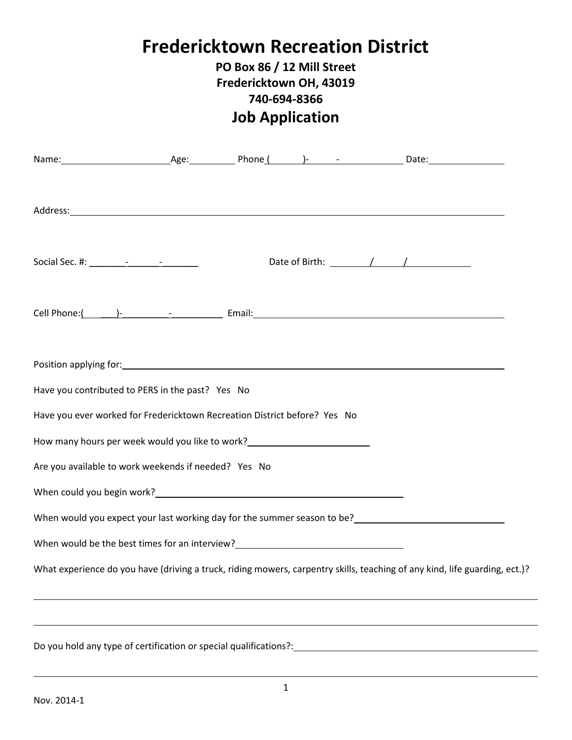## **Fredericktown Recreation District**

## **PO Box 86 / 12 Mill Street Fredericktown OH, 43019 740-694-8366 Job Application**

| Address: <u>2008 - 2008 - 2008 - 2008 - 2008 - 2009 - 2009 - 2009 - 2009 - 2009 - 2009 - 2009 - 2009 - 2009 - 2009 - 2009 - 2009 - 2009 - 2009 - 2009 - 2009 - 2009 - 2009 - 2009 - 2009 - 2009 - 2009 - 2009 - 2009 - 2009 - 20</u>                                                                               |  |  |  |  |  |
|--------------------------------------------------------------------------------------------------------------------------------------------------------------------------------------------------------------------------------------------------------------------------------------------------------------------|--|--|--|--|--|
| Social Sec. #: $\frac{1}{2}$ $\frac{1}{2}$ $\frac{1}{2}$ $\frac{1}{2}$ $\frac{1}{2}$ $\frac{1}{2}$ $\frac{1}{2}$ $\frac{1}{2}$ $\frac{1}{2}$ $\frac{1}{2}$ $\frac{1}{2}$ $\frac{1}{2}$ $\frac{1}{2}$ $\frac{1}{2}$ $\frac{1}{2}$ $\frac{1}{2}$ $\frac{1}{2}$ $\frac{1}{2}$ $\frac{1}{2}$ $\frac{1}{2}$ $\frac{1}{$ |  |  |  |  |  |
|                                                                                                                                                                                                                                                                                                                    |  |  |  |  |  |
| Position applying for: 1999 Contract to the contract of the contract of the contract of the contract of the contract of the contract of the contract of the contract of the contract of the contract of the contract of the co                                                                                     |  |  |  |  |  |
| Have you contributed to PERS in the past? Yes No                                                                                                                                                                                                                                                                   |  |  |  |  |  |
| Have you ever worked for Fredericktown Recreation District before? Yes No                                                                                                                                                                                                                                          |  |  |  |  |  |
|                                                                                                                                                                                                                                                                                                                    |  |  |  |  |  |
| Are you available to work weekends if needed? Yes No                                                                                                                                                                                                                                                               |  |  |  |  |  |
|                                                                                                                                                                                                                                                                                                                    |  |  |  |  |  |
|                                                                                                                                                                                                                                                                                                                    |  |  |  |  |  |
| When would be the best times for an interview?<br><u>Letting and the set of the set of the set of the set of the set of the set of the set of the set of the set of the set of the set of the set of the set of the set of the set</u>                                                                             |  |  |  |  |  |
| What experience do you have (driving a truck, riding mowers, carpentry skills, teaching of any kind, life guarding, ect.)?                                                                                                                                                                                         |  |  |  |  |  |
|                                                                                                                                                                                                                                                                                                                    |  |  |  |  |  |

 $\overline{\phantom{a}}$